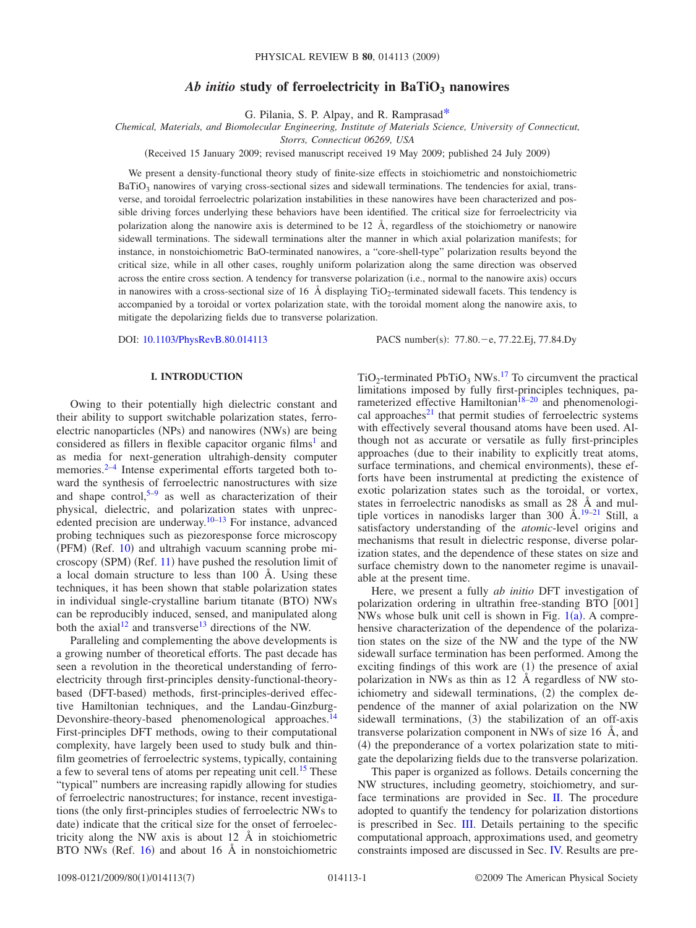# Ab *initio* study of ferroelectricity in BaTiO<sub>3</sub> nanowires

G. Pilania, S. P. Alpay, and R. Ramprasa[d\\*](#page-6-0)

*Chemical, Materials, and Biomolecular Engineering, Institute of Materials Science, University of Connecticut,*

*Storrs, Connecticut 06269, USA*

Received 15 January 2009; revised manuscript received 19 May 2009; published 24 July 2009-

We present a density-functional theory study of finite-size effects in stoichiometric and nonstoichiometric  $BaTiO<sub>3</sub>$  nanowires of varying cross-sectional sizes and sidewall terminations. The tendencies for axial, transverse, and toroidal ferroelectric polarization instabilities in these nanowires have been characterized and possible driving forces underlying these behaviors have been identified. The critical size for ferroelectricity via polarization along the nanowire axis is determined to be 12 Å, regardless of the stoichiometry or nanowire sidewall terminations. The sidewall terminations alter the manner in which axial polarization manifests; for instance, in nonstoichiometric BaO-terminated nanowires, a "core-shell-type" polarization results beyond the critical size, while in all other cases, roughly uniform polarization along the same direction was observed across the entire cross section. A tendency for transverse polarization (i.e., normal to the nanowire axis) occurs in nanowires with a cross-sectional size of 16  $\AA$  displaying TiO<sub>2</sub>-terminated sidewall facets. This tendency is accompanied by a toroidal or vortex polarization state, with the toroidal moment along the nanowire axis, to mitigate the depolarizing fields due to transverse polarization.

DOI: [10.1103/PhysRevB.80.014113](http://dx.doi.org/10.1103/PhysRevB.80.014113)

PACS number(s): 77.80. - e, 77.22.Ej, 77.84.Dy

# **I. INTRODUCTION**

Owing to their potentially high dielectric constant and their ability to support switchable polarization states, ferroelectric nanoparticles (NPs) and nanowires (NWs) are being considered as fillers in flexible capacitor organic films<sup>1</sup> and as media for next-generation ultrahigh-density computer memories.<sup>2–[4](#page-6-3)</sup> Intense experimental efforts targeted both toward the synthesis of ferroelectric nanostructures with size and shape control, $5-9$  $5-9$  as well as characterization of their physical, dielectric, and polarization states with unprec-edented precision are underway.<sup>10–[13](#page-6-7)</sup> For instance, advanced probing techniques such as piezoresponse force microscopy (PFM) (Ref. [10](#page-6-6)) and ultrahigh vacuum scanning probe mi-croscopy (SPM) (Ref. [11](#page-6-8)) have pushed the resolution limit of a local domain structure to less than 100 Å. Using these techniques, it has been shown that stable polarization states in individual single-crystalline barium titanate (BTO) NWs can be reproducibly induced, sensed, and manipulated along both the  $axial<sup>12</sup>$  and transverse<sup>13</sup> directions of the NW.

Paralleling and complementing the above developments is a growing number of theoretical efforts. The past decade has seen a revolution in the theoretical understanding of ferroelectricity through first-principles density-functional-theorybased (DFT-based) methods, first-principles-derived effective Hamiltonian techniques, and the Landau-Ginzburg-Devonshire-theory-based phenomenological approaches.<sup>14</sup> First-principles DFT methods, owing to their computational complexity, have largely been used to study bulk and thinfilm geometries of ferroelectric systems, typically, containing a few to several tens of atoms per repeating unit cell[.15](#page-6-11) These "typical" numbers are increasing rapidly allowing for studies of ferroelectric nanostructures; for instance, recent investigations (the only first-principles studies of ferroelectric NWs to date) indicate that the critical size for the onset of ferroelectricity along the NW axis is about 12 Å in stoichiometric BTO NWs (Ref.  $16$ ) and about 16 Å in nonstoichiometric

 $TiO<sub>2</sub>$ -terminated PbTiO<sub>3</sub> NWs.<sup>17</sup> To circumvent the practical limitations imposed by fully first-principles techniques, parameterized effective Hamiltonian $18-20$  and phenomenological approaches $21$  that permit studies of ferroelectric systems with effectively several thousand atoms have been used. Although not as accurate or versatile as fully first-principles approaches (due to their inability to explicitly treat atoms, surface terminations, and chemical environments), these efforts have been instrumental at predicting the existence of exotic polarization states such as the toroidal, or vortex, states in ferroelectric nanodisks as small as 28 Å and mul-tiple vortices in nanodisks larger than 300 Å.<sup>19–[21](#page-6-16)</sup> Still, a satisfactory understanding of the *atomic*-level origins and mechanisms that result in dielectric response, diverse polarization states, and the dependence of these states on size and surface chemistry down to the nanometer regime is unavailable at the present time.

Here, we present a fully *ab initio* DFT investigation of polarization ordering in ultrathin free-standing  $BTO$   $[001]$ NWs whose bulk unit cell is shown in Fig.  $1(a)$  $1(a)$ . A comprehensive characterization of the dependence of the polarization states on the size of the NW and the type of the NW sidewall surface termination has been performed. Among the exciting findings of this work are  $(1)$  the presence of axial polarization in NWs as thin as 12 Å regardless of NW stoichiometry and sidewall terminations, (2) the complex dependence of the manner of axial polarization on the NW sidewall terminations, (3) the stabilization of an off-axis transverse polarization component in NWs of size 16 Å, and (4) the preponderance of a vortex polarization state to mitigate the depolarizing fields due to the transverse polarization.

This paper is organized as follows. Details concerning the NW structures, including geometry, stoichiometry, and surface terminations are provided in Sec. [II.](#page-1-1) The procedure adopted to quantify the tendency for polarization distortions is prescribed in Sec. [III.](#page-1-2) Details pertaining to the specific computational approach, approximations used, and geometry constraints imposed are discussed in Sec. [IV.](#page-1-3) Results are pre-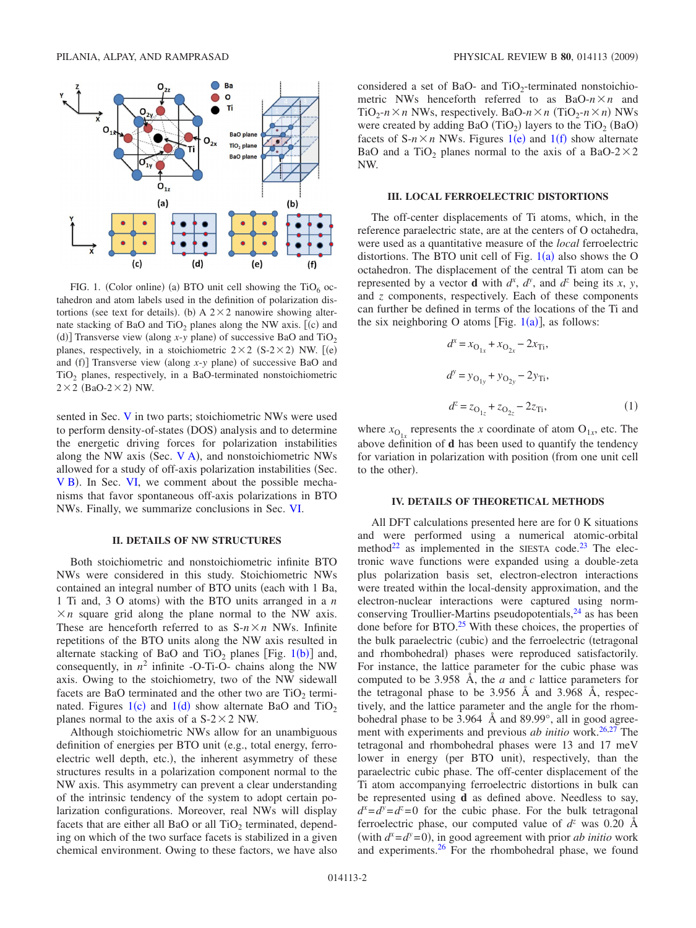<span id="page-1-0"></span>

FIG. 1. (Color online) (a) BTO unit cell showing the  $TiO_6$  octahedron and atom labels used in the definition of polarization distortions (see text for details). (b) A  $2 \times 2$  nanowire showing alternate stacking of BaO and  $TiO<sub>2</sub>$  planes along the NW axis. [(c) and (d)] Transverse view (along  $x$ -*y* plane) of successive BaO and TiO<sub>2</sub> planes, respectively, in a stoichiometric  $2 \times 2$  (S-2 $\times$ 2) NW. [(e) and (f)] Transverse view (along  $x$ -*y* plane) of successive BaO and TiO<sub>2</sub> planes, respectively, in a BaO-terminated nonstoichiometric  $2 \times 2$  (BaO-2 $\times$ 2) NW.

sented in Sec. [V](#page-2-0) in two parts; stoichiometric NWs were used to perform density-of-states (DOS) analysis and to determine the energetic driving forces for polarization instabilities along the NW axis (Sec.  $V$  A), and nonstoichiometric NWs allowed for a study of off-axis polarization instabilities (Sec. [V B](#page-3-0)). In Sec. [VI,](#page-5-0) we comment about the possible mechanisms that favor spontaneous off-axis polarizations in BTO NWs. Finally, we summarize conclusions in Sec. [VI.](#page-5-0)

# **II. DETAILS OF NW STRUCTURES**

<span id="page-1-1"></span>Both stoichiometric and nonstoichiometric infinite BTO NWs were considered in this study. Stoichiometric NWs contained an integral number of BTO units (each with 1 Ba, 1 Ti and, 3 O atoms) with the BTO units arranged in a *n*  $\times n$  square grid along the plane normal to the NW axis. These are henceforth referred to as  $S-n \times n$  NWs. Infinite repetitions of the BTO units along the NW axis resulted in alternate stacking of BaO and TiO<sub>2</sub> planes [Fig. [1](#page-1-0)(b)] and, consequently, in  $n^2$  infinite -O-Ti-O- chains along the NW axis. Owing to the stoichiometry, two of the NW sidewall facets are BaO terminated and the other two are  $TiO<sub>2</sub>$  terminated. Figures  $1(c)$  $1(c)$  and  $1(d)$  show alternate BaO and TiO<sub>2</sub> planes normal to the axis of a  $S-2 \times 2$  NW.

Although stoichiometric NWs allow for an unambiguous definition of energies per BTO unit (e.g., total energy, ferroelectric well depth, etc.), the inherent asymmetry of these structures results in a polarization component normal to the NW axis. This asymmetry can prevent a clear understanding of the intrinsic tendency of the system to adopt certain polarization configurations. Moreover, real NWs will display facets that are either all BaO or all  $TiO<sub>2</sub>$  terminated, depending on which of the two surface facets is stabilized in a given chemical environment. Owing to these factors, we have also considered a set of BaO- and  $TiO<sub>2</sub>$ -terminated nonstoichiometric NWs henceforth referred to as  $BaO-n \times n$  and  $TiO_2$ - $n \times n$  NWs, respectively. BaO- $n \times n$  (TiO<sub>2</sub>- $n \times n$ ) NWs were created by adding BaO  $(TiO<sub>2</sub>)$  layers to the  $TiO<sub>2</sub>$  (BaO) facets of  $S-n \times n$  NWs. Figures [1](#page-1-0)(e) and 1(f) show alternate BaO and a TiO<sub>2</sub> planes normal to the axis of a BaO-2 $\times$ 2 NW.

#### **III. LOCAL FERROELECTRIC DISTORTIONS**

<span id="page-1-2"></span>The off-center displacements of Ti atoms, which, in the reference paraelectric state, are at the centers of O octahedra, were used as a quantitative measure of the *local* ferroelectric distortions. The BTO unit cell of Fig.  $1(a)$  $1(a)$  also shows the O octahedron. The displacement of the central Ti atom can be represented by a vector **d** with  $d^x$ ,  $d^y$ , and  $d^z$  being its *x*, *y*, and *z* components, respectively. Each of these components can further be defined in terms of the locations of the Ti and the six neighboring O atoms [Fig.  $1(a)$  $1(a)$ ], as follows:

$$
d^{x} = x_{O_{1x}} + x_{O_{2x}} - 2x_{Ti},
$$
  
\n
$$
d^{y} = y_{O_{1y}} + y_{O_{2y}} - 2y_{Ti},
$$
  
\n
$$
d^{z} = z_{O_{1z}} + z_{O_{2z}} - 2z_{Ti},
$$
\n(1)

where  $x_{O_{1x}}$  represents the *x* coordinate of atom  $O_{1x}$ , etc. The above definition of **d** has been used to quantify the tendency for variation in polarization with position (from one unit cell to the other).

#### **IV. DETAILS OF THEORETICAL METHODS**

<span id="page-1-3"></span>All DFT calculations presented here are for 0 K situations and were performed using a numerical atomic-orbital method<sup>22</sup> as implemented in the SIESTA code.<sup>23</sup> The electronic wave functions were expanded using a double-zeta plus polarization basis set, electron-electron interactions were treated within the local-density approximation, and the electron-nuclear interactions were captured using normconserving Troullier-Martins pseudopotentials, $^{24}$  as has been done before for  $BTO<sup>25</sup>$  With these choices, the properties of the bulk paraelectric (cubic) and the ferroelectric (tetragonal and rhombohedral) phases were reproduced satisfactorily. For instance, the lattice parameter for the cubic phase was computed to be 3.958 Å, the *a* and *c* lattice parameters for the tetragonal phase to be 3.956 Å and 3.968 Å, respectively, and the lattice parameter and the angle for the rhombohedral phase to be 3.964 Å and 89.99°, all in good agreement with experiments and previous *ab initio* work.<sup>26[,27](#page-6-23)</sup> The tetragonal and rhombohedral phases were 13 and 17 meV lower in energy (per BTO unit), respectively, than the paraelectric cubic phase. The off-center displacement of the Ti atom accompanying ferroelectric distortions in bulk can be represented using **d** as defined above. Needless to say,  $d^x = d^y = d^z = 0$  for the cubic phase. For the bulk tetragonal ferroelectric phase, our computed value of  $d^z$  was 0.20 Å (with  $d^x = d^y = 0$ ), in good agreement with prior *ab initio* work and experiments[.26](#page-6-22) For the rhombohedral phase, we found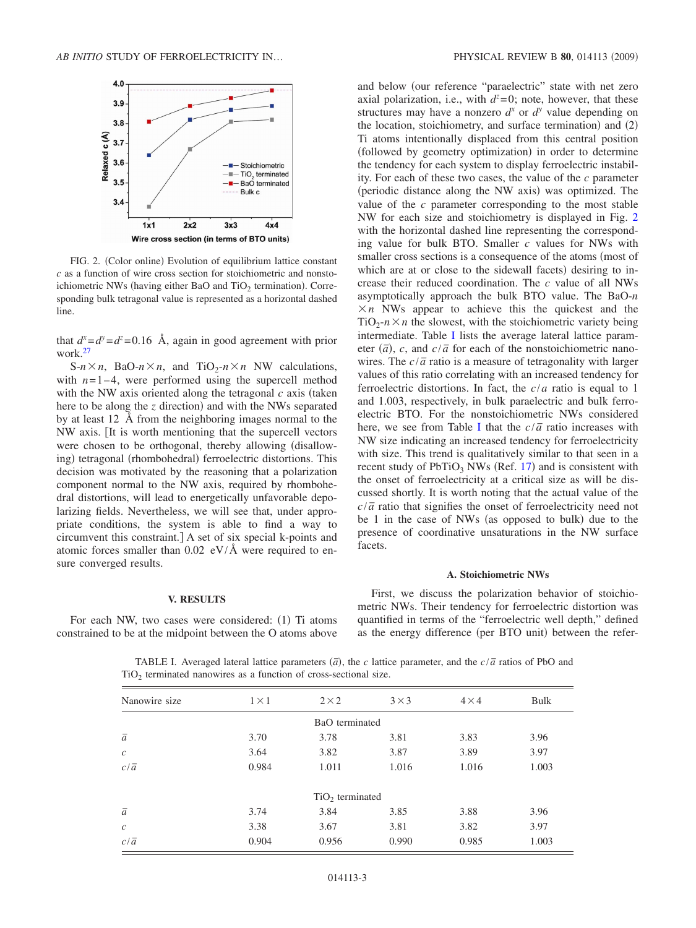<span id="page-2-2"></span>

FIG. 2. (Color online) Evolution of equilibrium lattice constant *c* as a function of wire cross section for stoichiometric and nonstoichiometric NWs (having either BaO and  $TiO<sub>2</sub>$  termination). Corresponding bulk tetragonal value is represented as a horizontal dashed line.

that  $d^x = d^y = d^z = 0.16$  Å, again in good agreement with prior work[.27](#page-6-23)

 $S-n \times n$ , BaO- $n \times n$ , and TiO<sub>2</sub>- $n \times n$  NW calculations, with  $n=1-4$ , were performed using the supercell method with the NW axis oriented along the tetragonal  $c$  axis (taken here to be along the *z* direction) and with the NWs separated by at least 12 Å from the neighboring images normal to the NW axis. It is worth mentioning that the supercell vectors were chosen to be orthogonal, thereby allowing (disallowing) tetragonal (rhombohedral) ferroelectric distortions. This decision was motivated by the reasoning that a polarization component normal to the NW axis, required by rhombohedral distortions, will lead to energetically unfavorable depolarizing fields. Nevertheless, we will see that, under appropriate conditions, the system is able to find a way to circumvent this constraint.] A set of six special k-points and atomic forces smaller than  $0.02$  eV/ $\AA$  were required to ensure converged results.

### PHYSICAL REVIEW B 80, 014113 (2009)

and below (our reference "paraelectric" state with net zero axial polarization, i.e., with  $d^z=0$ ; note, however, that these structures may have a nonzero  $d^x$  or  $d^y$  value depending on the location, stoichiometry, and surface termination) and (2) Ti atoms intentionally displaced from this central position (followed by geometry optimization) in order to determine the tendency for each system to display ferroelectric instability. For each of these two cases, the value of the *c* parameter (periodic distance along the NW axis) was optimized. The value of the *c* parameter corresponding to the most stable NW for each size and stoichiometry is displayed in Fig. [2](#page-2-2) with the horizontal dashed line representing the corresponding value for bulk BTO. Smaller *c* values for NWs with smaller cross sections is a consequence of the atoms (most of which are at or close to the sidewall facets) desiring to increase their reduced coordination. The *c* value of all NWs asymptotically approach the bulk BTO value. The BaO-*n*  $\times n$  NWs appear to achieve this the quickest and the  $TiO<sub>2</sub> - n \times n$  the slowest, with the stoichiometric variety being intermediate. Table [I](#page-2-3) lists the average lateral lattice parameter  $(\bar{a})$ , *c*, and  $c/\bar{a}$  for each of the nonstoichiometric nanowires. The  $c/\bar{a}$  ratio is a measure of tetragonality with larger values of this ratio correlating with an increased tendency for ferroelectric distortions. In fact, the *c*/*a* ratio is equal to 1 and 1.003, respectively, in bulk paraelectric and bulk ferroelectric BTO. For the nonstoichiometric NWs considered here, we see from Table [I](#page-2-3) that the  $c/\bar{a}$  ratio increases with NW size indicating an increased tendency for ferroelectricity with size. This trend is qualitatively similar to that seen in a recent study of  $PbTiO<sub>3</sub> NWs$  (Ref. [17](#page-6-13)) and is consistent with the onset of ferroelectricity at a critical size as will be discussed shortly. It is worth noting that the actual value of the *c*/ $\bar{a}$  ratio that signifies the onset of ferroelectricity need not be 1 in the case of NWs (as opposed to bulk) due to the presence of coordinative unsaturations in the NW surface facets.

### **A. Stoichiometric NWs**

# **V. RESULTS**

<span id="page-2-3"></span><span id="page-2-0"></span>For each NW, two cases were considered: (1) Ti atoms constrained to be at the midpoint between the O atoms above

<span id="page-2-1"></span>First, we discuss the polarization behavior of stoichiometric NWs. Their tendency for ferroelectric distortion was quantified in terms of the "ferroelectric well depth," defined as the energy difference (per BTO unit) between the refer-

TABLE I. Averaged lateral lattice parameters  $(\bar{a})$ , the *c* lattice parameter, and the  $c/\bar{a}$  ratios of PbO and  $TiO<sub>2</sub>$  terminated nanowires as a function of cross-sectional size.

| Nanowire size    | $1 \times 1$ | $2 \times 2$      | $3 \times 3$ | $4 \times 4$ | Bulk  |
|------------------|--------------|-------------------|--------------|--------------|-------|
|                  |              | BaO terminated    |              |              |       |
| $\bar{a}$        | 3.70         | 3.78              | 3.81         | 3.83         | 3.96  |
| $\boldsymbol{c}$ | 3.64         | 3.82              | 3.87         | 3.89         | 3.97  |
| $c/\overline{a}$ | 0.984        | 1.011             | 1.016        | 1.016        | 1.003 |
|                  |              | $TiO2$ terminated |              |              |       |
| $\bar{a}$        | 3.74         | 3.84              | 3.85         | 3.88         | 3.96  |
| $\mathcal C$     | 3.38         | 3.67              | 3.81         | 3.82         | 3.97  |
| $c/\overline{a}$ | 0.904        | 0.956             | 0.990        | 0.985        | 1.003 |
|                  |              |                   |              |              |       |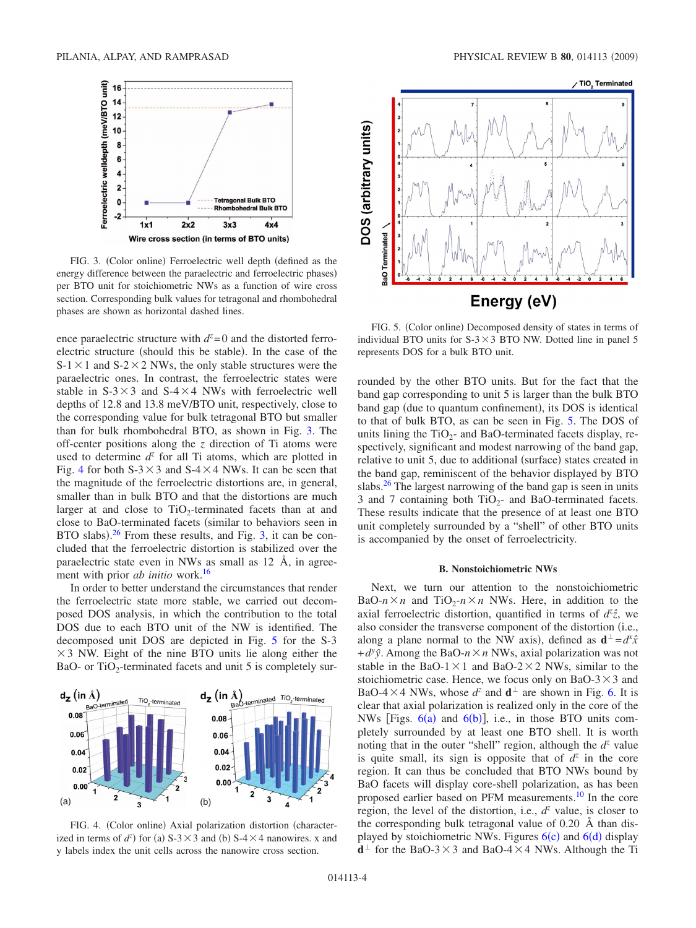<span id="page-3-1"></span>

FIG. 3. (Color online) Ferroelectric well depth (defined as the energy difference between the paraelectric and ferroelectric phases) per BTO unit for stoichiometric NWs as a function of wire cross section. Corresponding bulk values for tetragonal and rhombohedral phases are shown as horizontal dashed lines.

ence paraelectric structure with  $d^z = 0$  and the distorted ferroelectric structure (should this be stable). In the case of the  $S-1 \times 1$  and  $S-2 \times 2$  NWs, the only stable structures were the paraelectric ones. In contrast, the ferroelectric states were stable in  $S-3\times3$  and  $S-4\times4$  NWs with ferroelectric well depths of 12.8 and 13.8 meV/BTO unit, respectively, close to the corresponding value for bulk tetragonal BTO but smaller than for bulk rhombohedral BTO, as shown in Fig. [3.](#page-3-1) The off-center positions along the *z* direction of Ti atoms were used to determine  $d^z$  for all Ti atoms, which are plotted in Fig. [4](#page-3-2) for both  $S-3 \times 3$  and  $S-4 \times 4$  NWs. It can be seen that the magnitude of the ferroelectric distortions are, in general, smaller than in bulk BTO and that the distortions are much larger at and close to  $TiO<sub>2</sub>$ -terminated facets than at and close to BaO-terminated facets (similar to behaviors seen in BTO slabs). $26$  From these results, and Fig. [3,](#page-3-1) it can be concluded that the ferroelectric distortion is stabilized over the paraelectric state even in NWs as small as 12 Å, in agreement with prior *ab initio* work[.16](#page-6-12)

In order to better understand the circumstances that render the ferroelectric state more stable, we carried out decomposed DOS analysis, in which the contribution to the total DOS due to each BTO unit of the NW is identified. The decomposed unit DOS are depicted in Fig. [5](#page-3-3) for the S-3  $\times$  3 NW. Eight of the nine BTO units lie along either the BaO- or  $TiO<sub>2</sub>$ -terminated facets and unit 5 is completely sur-

<span id="page-3-2"></span>

FIG. 4. (Color online) Axial polarization distortion (characterized in terms of  $d^z$ ) for (a) S-3  $\times$  3 and (b) S-4  $\times$  4 nanowires. x and y labels index the unit cells across the nanowire cross section.

<span id="page-3-3"></span>

FIG. 5. (Color online) Decomposed density of states in terms of individual BTO units for  $S-3 \times 3$  BTO NW. Dotted line in panel 5 represents DOS for a bulk BTO unit.

rounded by the other BTO units. But for the fact that the band gap corresponding to unit 5 is larger than the bulk BTO band gap (due to quantum confinement), its DOS is identical to that of bulk BTO, as can be seen in Fig. [5.](#page-3-3) The DOS of units lining the  $TiO<sub>2</sub>$ - and BaO-terminated facets display, respectively, significant and modest narrowing of the band gap, relative to unit 5, due to additional (surface) states created in the band gap, reminiscent of the behavior displayed by BTO slabs. $26$  The largest narrowing of the band gap is seen in units 3 and 7 containing both  $TiO<sub>2</sub>-$  and BaO-terminated facets. These results indicate that the presence of at least one BTO unit completely surrounded by a "shell" of other BTO units is accompanied by the onset of ferroelectricity.

#### **B. Nonstoichiometric NWs**

<span id="page-3-0"></span>Next, we turn our attention to the nonstoichiometric BaO- $n \times n$  and TiO<sub>2</sub>- $n \times n$  NWs. Here, in addition to the axial ferroelectric distortion, quantified in terms of  $d^z\hat{z}$ , we also consider the transverse component of the distortion (i.e., along a plane normal to the NW axis), defined as  $\mathbf{d}^{\perp} = d^x \hat{x}$  $+d^y\hat{y}$ . Among the BaO- $n \times n$  NWs, axial polarization was not stable in the BaO-1 $\times$ 1 and BaO-2 $\times$ 2 NWs, similar to the stoichiometric case. Hence, we focus only on BaO-3 $\times$ 3 and BaO-4  $\times$  4 NWs, whose  $d^z$  and  $\mathbf{d}^\perp$  are shown in Fig. [6.](#page-4-0) It is clear that axial polarization is realized only in the core of the NWs [Figs.  $6(a)$  $6(a)$  and  $6(b)$ ], i.e., in those BTO units completely surrounded by at least one BTO shell. It is worth noting that in the outer "shell" region, although the  $d^z$  value is quite small, its sign is opposite that of  $d^z$  in the core region. It can thus be concluded that BTO NWs bound by BaO facets will display core-shell polarization, as has been proposed earlier based on PFM measurements.<sup>10</sup> In the core region, the level of the distortion, i.e.,  $d^z$  value, is closer to the corresponding bulk tetragonal value of 0.20 Å than dis-played by stoichiometric NWs. Figures [6](#page-4-0)(c) and 6(d) display  $d^{\perp}$  for the BaO-3  $\times$  3 and BaO-4  $\times$  4 NWs. Although the Ti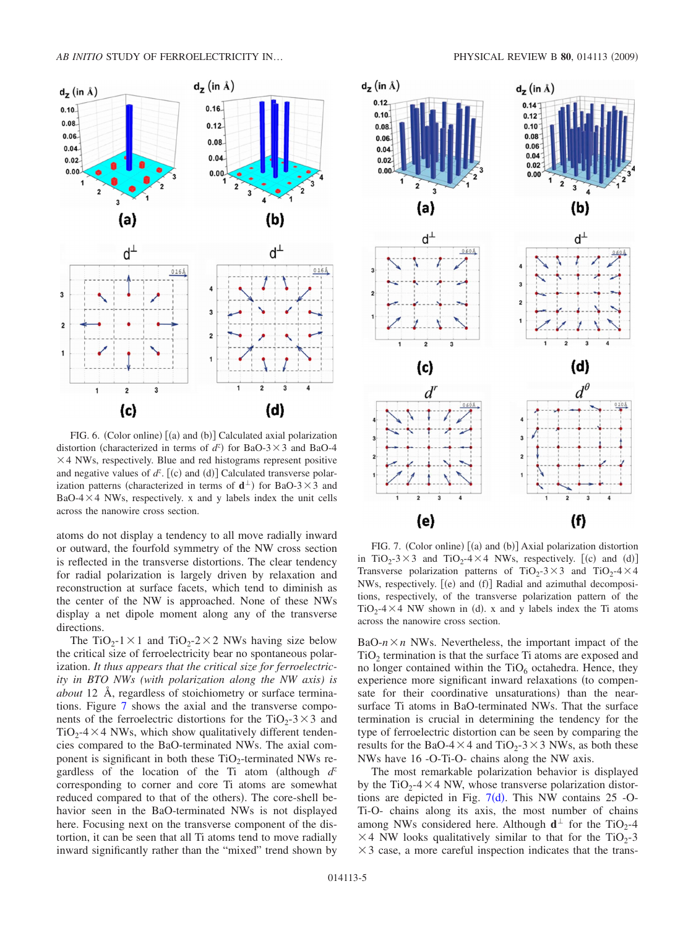<span id="page-4-0"></span>

FIG. 6. (Color online) [(a) and (b)] Calculated axial polarization distortion (characterized in terms of  $d^z$ ) for BaO-3 × 3 and BaO-4  $\times$  4 NWs, respectively. Blue and red histograms represent positive and negative values of  $d^z$ . [(c) and (d)] Calculated transverse polarization patterns (characterized in terms of  $\mathbf{d}^{\perp}$ ) for BaO-3  $\times$  3 and  $BaO-4 \times 4$  NWs, respectively. x and y labels index the unit cells across the nanowire cross section.

atoms do not display a tendency to all move radially inward or outward, the fourfold symmetry of the NW cross section is reflected in the transverse distortions. The clear tendency for radial polarization is largely driven by relaxation and reconstruction at surface facets, which tend to diminish as the center of the NW is approached. None of these NWs display a net dipole moment along any of the transverse directions.

The TiO<sub>2</sub>-1  $\times$  1 and TiO<sub>2</sub>-2  $\times$  2 NWs having size below the critical size of ferroelectricity bear no spontaneous polarization. *It thus appears that the critical size for ferroelectricity in BTO NWs (with polarization along the NW axis) is about* 12 Å, regardless of stoichiometry or surface terminations. Figure [7](#page-4-1) shows the axial and the transverse components of the ferroelectric distortions for the TiO<sub>2</sub>-3 $\times$ 3 and  $TiO<sub>2</sub> - 4 \times 4$  NWs, which show qualitatively different tendencies compared to the BaO-terminated NWs. The axial component is significant in both these  $TiO<sub>2</sub>$ -terminated NWs regardless of the location of the Ti atom (although  $d^z$ corresponding to corner and core Ti atoms are somewhat reduced compared to that of the others). The core-shell behavior seen in the BaO-terminated NWs is not displayed here. Focusing next on the transverse component of the distortion, it can be seen that all Ti atoms tend to move radially inward significantly rather than the "mixed" trend shown by

<span id="page-4-1"></span>

FIG. 7. (Color online) [(a) and (b)] Axial polarization distortion in TiO<sub>2</sub>-3×3 and TiO<sub>2</sub>-4×4 NWs, respectively. [(c) and (d)] Transverse polarization patterns of TiO<sub>2</sub>-3×3 and TiO<sub>2</sub>-4×4 NWs, respectively. [(e) and (f)] Radial and azimuthal decompositions, respectively, of the transverse polarization pattern of the  $TiO<sub>2</sub> - 4 \times 4$  NW shown in (d). x and y labels index the Ti atoms across the nanowire cross section.

BaO- $n \times n$  NWs. Nevertheless, the important impact of the  $TiO<sub>2</sub>$  termination is that the surface Ti atoms are exposed and no longer contained within the  $TiO<sub>6</sub>$  octahedra. Hence, they experience more significant inward relaxations (to compensate for their coordinative unsaturations) than the nearsurface Ti atoms in BaO-terminated NWs. That the surface termination is crucial in determining the tendency for the type of ferroelectric distortion can be seen by comparing the results for the BaO-4 $\times$ 4 and TiO<sub>2</sub>-3 $\times$ 3 NWs, as both these NWs have 16 -O-Ti-O- chains along the NW axis.

The most remarkable polarization behavior is displayed by the  $TiO_2$ -4  $\times$  4 NW, whose transverse polarization distortions are depicted in Fig.  $7(d)$  $7(d)$ . This NW contains 25 -O-Ti-O- chains along its axis, the most number of chains among NWs considered here. Although  $d^{\perp}$  for the TiO<sub>2</sub>-4  $\times$  4 NW looks qualitatively similar to that for the TiO<sub>2</sub>-3  $\times$  3 case, a more careful inspection indicates that the trans-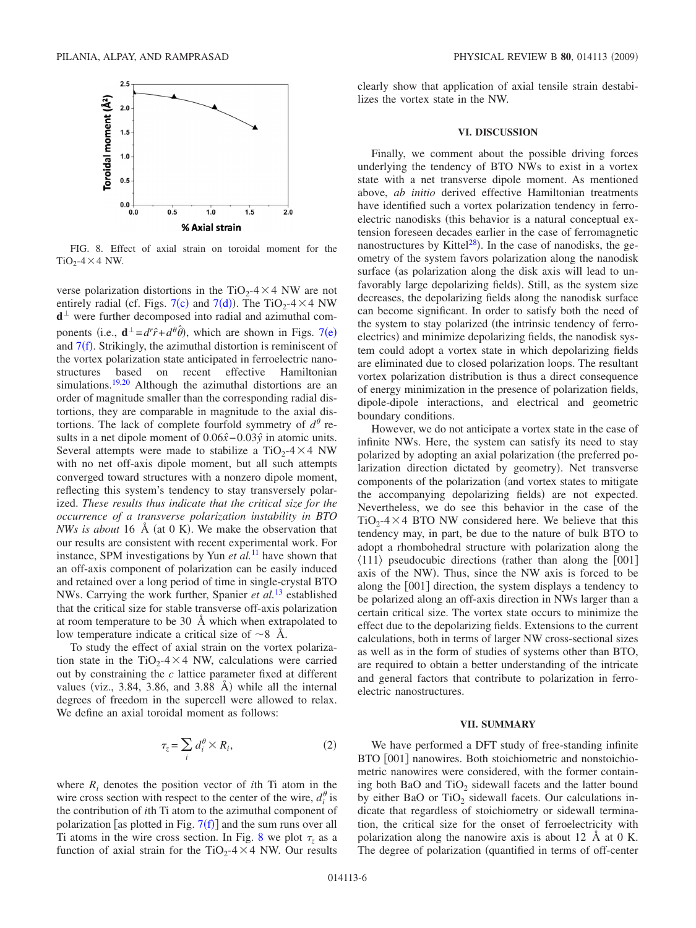<span id="page-5-1"></span>

FIG. 8. Effect of axial strain on toroidal moment for the  $TiO<sub>2</sub> - 4 \times 4$  NW.

verse polarization distortions in the TiO<sub>2</sub>-4 $\times$ 4 NW are not entirely radial (cf. Figs.  $7(c)$  $7(c)$  and  $7(d)$ ). The TiO<sub>2</sub>-4 × 4 NW  $d<sup>\perp</sup>$  were further decomposed into radial and azimuthal components (i.e.,  $\mathbf{d}^{\perp} = d^r \hat{r} + d^{\theta} \hat{\theta}$ ), which are shown in Figs. [7](#page-4-1)(e) and  $7(f)$  $7(f)$ . Strikingly, the azimuthal distortion is reminiscent of the vortex polarization state anticipated in ferroelectric nanostructures based on recent effective Hamiltonian simulations.<sup>19,[20](#page-6-15)</sup> Although the azimuthal distortions are an order of magnitude smaller than the corresponding radial distortions, they are comparable in magnitude to the axial distortions. The lack of complete fourfold symmetry of  $d^{\theta}$  results in a net dipole moment of  $0.06\hat{x}$  − 0.03 $\hat{y}$  in atomic units. Several attempts were made to stabilize a  $TiO<sub>2</sub> - 4 \times 4$  NW with no net off-axis dipole moment, but all such attempts converged toward structures with a nonzero dipole moment, reflecting this system's tendency to stay transversely polarized. *These results thus indicate that the critical size for the occurrence of a transverse polarization instability in BTO NWs is about* 16  $\AA$  (at 0 K). We make the observation that our results are consistent with recent experimental work. For instance, SPM investigations by Yun *et al.*[11](#page-6-8) have shown that an off-axis component of polarization can be easily induced and retained over a long period of time in single-crystal BTO NWs. Carrying the work further, Spanier *et al.*[13](#page-6-7) established that the critical size for stable transverse off-axis polarization at room temperature to be 30 Å which when extrapolated to low temperature indicate a critical size of  $\sim$ 8 Å.

To study the effect of axial strain on the vortex polarization state in the TiO<sub>2</sub>-4 $\times$ 4 NW, calculations were carried out by constraining the *c* lattice parameter fixed at different values (viz.,  $3.84$ ,  $3.86$ , and  $3.88$  Å) while all the internal degrees of freedom in the supercell were allowed to relax. We define an axial toroidal moment as follows:

$$
\tau_z = \sum_i d_i^{\theta} \times R_i,\tag{2}
$$

where  $R_i$  denotes the position vector of *i*th Ti atom in the wire cross section with respect to the center of the wire,  $d_i^{\theta}$  is the contribution of *i*th Ti atom to the azimuthal component of polarization [as plotted in Fig.  $7(f)$  $7(f)$ ] and the sum runs over all Ti atoms in the wire cross section. In Fig. [8](#page-5-1) we plot  $\tau$ <sub>z</sub> as a function of axial strain for the TiO<sub>2</sub>-4 $\times$ 4 NW. Our results

clearly show that application of axial tensile strain destabilizes the vortex state in the NW.

### **VI. DISCUSSION**

<span id="page-5-0"></span>Finally, we comment about the possible driving forces underlying the tendency of BTO NWs to exist in a vortex state with a net transverse dipole moment. As mentioned above, *ab initio* derived effective Hamiltonian treatments have identified such a vortex polarization tendency in ferroelectric nanodisks (this behavior is a natural conceptual extension foreseen decades earlier in the case of ferromagnetic nanostructures by Kittel<sup>28</sup>). In the case of nanodisks, the geometry of the system favors polarization along the nanodisk surface (as polarization along the disk axis will lead to unfavorably large depolarizing fields). Still, as the system size decreases, the depolarizing fields along the nanodisk surface can become significant. In order to satisfy both the need of the system to stay polarized (the intrinsic tendency of ferroelectrics) and minimize depolarizing fields, the nanodisk system could adopt a vortex state in which depolarizing fields are eliminated due to closed polarization loops. The resultant vortex polarization distribution is thus a direct consequence of energy minimization in the presence of polarization fields, dipole-dipole interactions, and electrical and geometric boundary conditions.

However, we do not anticipate a vortex state in the case of infinite NWs. Here, the system can satisfy its need to stay polarized by adopting an axial polarization (the preferred polarization direction dictated by geometry). Net transverse components of the polarization (and vortex states to mitigate the accompanying depolarizing fields) are not expected. Nevertheless, we do see this behavior in the case of the  $TiO<sub>2</sub> - 4 \times 4$  BTO NW considered here. We believe that this tendency may, in part, be due to the nature of bulk BTO to adopt a rhombohedral structure with polarization along the  $\langle 111 \rangle$  pseudocubic directions (rather than along the [001] axis of the NW). Thus, since the NW axis is forced to be along the [001] direction, the system displays a tendency to be polarized along an off-axis direction in NWs larger than a certain critical size. The vortex state occurs to minimize the effect due to the depolarizing fields. Extensions to the current calculations, both in terms of larger NW cross-sectional sizes as well as in the form of studies of systems other than BTO, are required to obtain a better understanding of the intricate and general factors that contribute to polarization in ferroelectric nanostructures.

#### **VII. SUMMARY**

We have performed a DFT study of free-standing infinite BTO [001] nanowires. Both stoichiometric and nonstoichiometric nanowires were considered, with the former containing both BaO and  $TiO<sub>2</sub>$  sidewall facets and the latter bound by either BaO or TiO<sub>2</sub> sidewall facets. Our calculations indicate that regardless of stoichiometry or sidewall termination, the critical size for the onset of ferroelectricity with polarization along the nanowire axis is about 12 Å at 0 K. The degree of polarization (quantified in terms of off-center